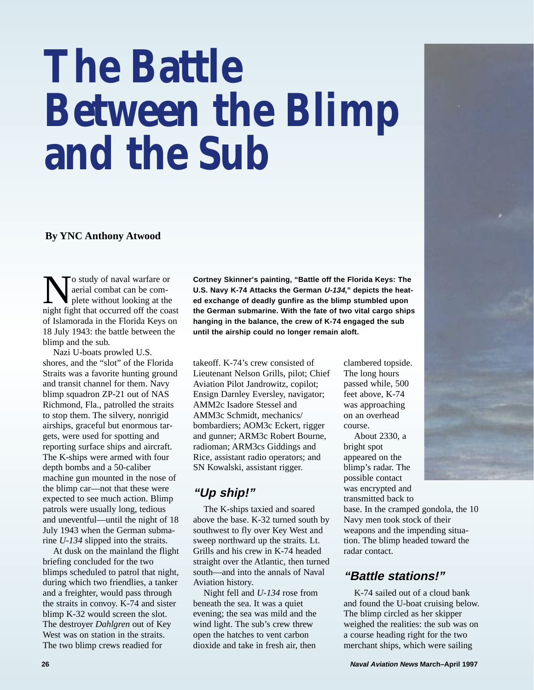# **The Battle Between the Blimp and the Sub**

#### **By YNC Anthony Atwood**

No study of naval warfare or<br>
plete without looking at the<br>
pight fight that occurred off the coast<br>
pight that occurred off the coast<br>
pight that occurred off the coast<br>
pight that occurred off the coast<br>
pight that occur aerial combat can be complete without looking at the night fight that occurred off the coast of Islamorada in the Florida Keys on 18 July 1943: the battle between the blimp and the sub.

Nazi U-boats prowled U.S. shores, and the "slot" of the Florida Straits was a favorite hunting ground and transit channel for them. Navy blimp squadron ZP-21 out of NAS Richmond, Fla., patrolled the straits to stop them. The silvery, nonrigid airships, graceful but enormous targets, were used for spotting and reporting surface ships and aircraft. The K-ships were armed with four depth bombs and a 50-caliber machine gun mounted in the nose of the blimp car—not that these were expected to see much action. Blimp patrols were usually long, tedious and uneventful—until the night of 18 July 1943 when the German submarine *U-134* slipped into the straits.

At dusk on the mainland the flight briefing concluded for the two blimps scheduled to patrol that night, during which two friendlies, a tanker and a freighter, would pass through the straits in convoy. K-74 and sister blimp K-32 would screen the slot. The destroyer *Dahlgren* out of Key West was on station in the straits. The two blimp crews readied for

**Cortney Skinner's painting, "Battle off the Florida Keys: The U.S. Navy K-74 Attacks the German U-134," depicts the heated exchange of deadly gunfire as the blimp stumbled upon the German submarine. With the fate of two vital cargo ships hanging in the balance, the crew of K-74 engaged the sub until the airship could no longer remain aloft.**

takeoff. K-74's crew consisted of Lieutenant Nelson Grills, pilot; Chief Aviation Pilot Jandrowitz, copilot; Ensign Darnley Eversley, navigator; AMM2c Isadore Stessel and AMM3c Schmidt, mechanics/ bombardiers; AOM3c Eckert, rigger and gunner; ARM3c Robert Bourne, radioman; ARM3cs Giddings and Rice, assistant radio operators; and SN Kowalski, assistant rigger.

# **"Up ship!"**

The K-ships taxied and soared above the base. K-32 turned south by southwest to fly over Key West and sweep northward up the straits. Lt. Grills and his crew in K-74 headed straight over the Atlantic, then turned south—and into the annals of Naval Aviation history.

Night fell and *U-134* rose from beneath the sea. It was a quiet evening; the sea was mild and the wind light. The sub's crew threw open the hatches to vent carbon dioxide and take in fresh air, then

clambered topside. The long hours passed while, 500 feet above, K-74 was approaching on an overhead course.

About 2330, a bright spot appeared on the blimp's radar. The possible contact was encrypted and transmitted back to

base. In the cramped gondola, the 10 Navy men took stock of their weapons and the impending situation. The blimp headed toward the radar contact.

# **"Battle stations!"**

K-74 sailed out of a cloud bank and found the U-boat cruising below. The blimp circled as her skipper weighed the realities: the sub was on a course heading right for the two merchant ships, which were sailing

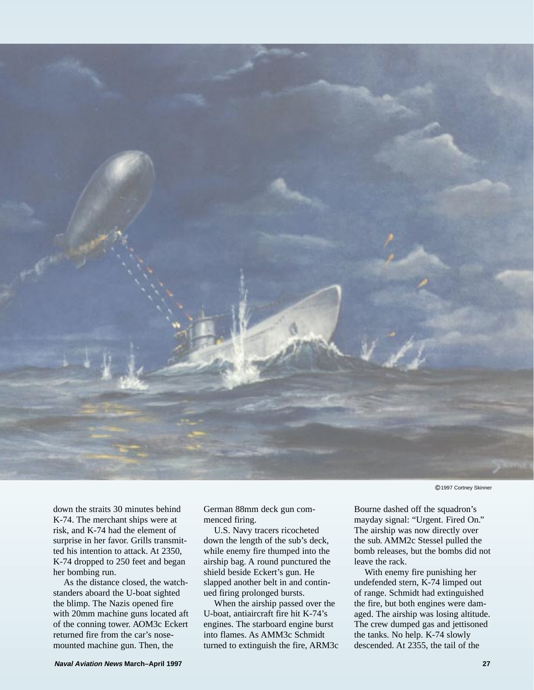

c 1997 Cortney Skinner

down the straits 30 minutes behind K-74. The merchant ships were at risk, and K-74 had the element of surprise in her favor. Grills transmitted his intention to attack. At 2350, K-74 dropped to 250 feet and began her bombing run.

As the distance closed, the watchstanders aboard the U-boat sighted the blimp. The Nazis opened fire with 20mm machine guns located aft of the conning tower. AOM3c Eckert returned fire from the car's nosemounted machine gun. Then, the

German 88mm deck gun commenced firing.

U.S. Navy tracers ricocheted down the length of the sub's deck, while enemy fire thumped into the airship bag. A round punctured the shield beside Eckert's gun. He slapped another belt in and continued firing prolonged bursts.

When the airship passed over the U-boat, antiaircraft fire hit K-74's engines. The starboard engine burst into flames. As AMM3c Schmidt turned to extinguish the fire, ARM3c Bourne dashed off the squadron's mayday signal: "Urgent. Fired On." The airship was now directly over the sub. AMM2c Stessel pulled the bomb releases, but the bombs did not leave the rack.

With enemy fire punishing her undefended stern, K-74 limped out of range. Schmidt had extinguished the fire, but both engines were damaged. The airship was losing altitude. The crew dumped gas and jettisoned the tanks. No help. K-74 slowly descended. At 2355, the tail of the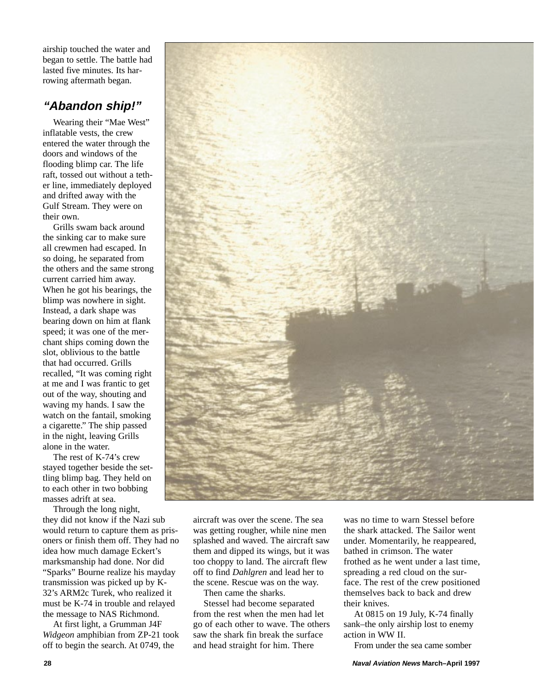airship touched the water and began to settle. The battle had lasted five minutes. Its harrowing aftermath began.

#### **"Abandon ship!"**

Wearing their "Mae West" inflatable vests, the crew entered the water through the doors and windows of the flooding blimp car. The life raft, tossed out without a tether line, immediately deployed and drifted away with the Gulf Stream. They were on their own.

Grills swam back around the sinking car to make sure all crewmen had escaped. In so doing, he separated from the others and the same strong current carried him away. When he got his bearings, the blimp was nowhere in sight. Instead, a dark shape was bearing down on him at flank speed; it was one of the merchant ships coming down the slot, oblivious to the battle that had occurred. Grills recalled, "It was coming right at me and I was frantic to get out of the way, shouting and waving my hands. I saw the watch on the fantail, smoking a cigarette." The ship passed in the night, leaving Grills alone in the water.

The rest of K-74's crew stayed together beside the settling blimp bag. They held on to each other in two bobbing masses adrift at sea.

Through the long night, they did not know if the Nazi sub would return to capture them as prisoners or finish them off. They had no idea how much damage Eckert's marksmanship had done. Nor did "Sparks" Bourne realize his mayday transmission was picked up by K-32's ARM2c Turek, who realized it must be K-74 in trouble and relayed the message to NAS Richmond.

At first light, a Grumman J4F *Widgeon* amphibian from ZP-21 took off to begin the search. At 0749, the



aircraft was over the scene. The sea was getting rougher, while nine men splashed and waved. The aircraft saw them and dipped its wings, but it was too choppy to land. The aircraft flew off to find *Dahlgren* and lead her to the scene. Rescue was on the way.

Then came the sharks.

Stessel had become separated from the rest when the men had let go of each other to wave. The others saw the shark fin break the surface and head straight for him. There

was no time to warn Stessel before the shark attacked. The Sailor went under. Momentarily, he reappeared, bathed in crimson. The water frothed as he went under a last time, spreading a red cloud on the surface. The rest of the crew positioned themselves back to back and drew their knives.

At 0815 on 19 July, K-74 finally sank–the only airship lost to enemy action in WW II.

From under the sea came somber